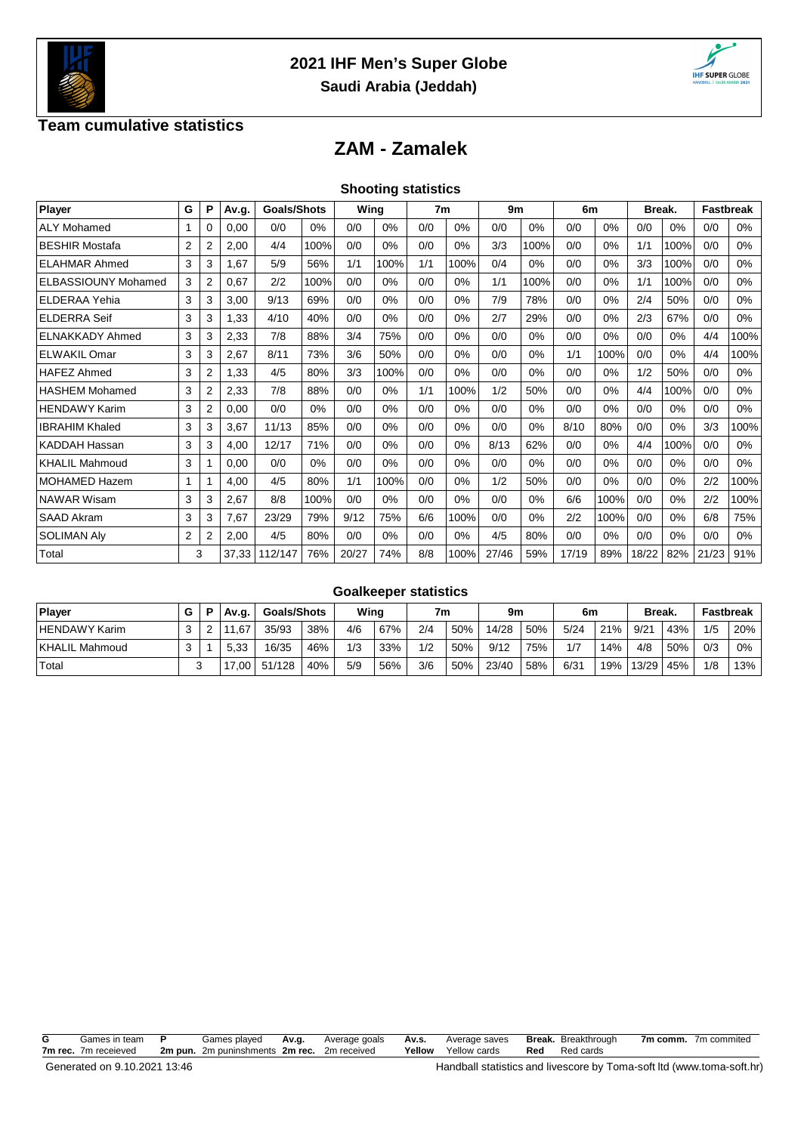



### **Team cumulative statistics**

# **ZAM - Zamalek**

|  | <b>Shooting statistics</b> |  |
|--|----------------------------|--|
|  |                            |  |

| Player                     | G              | P              | Av.g. | Wing<br><b>Goals/Shots</b><br>7m<br>Break.<br>9m<br>6 <sub>m</sub> |      | Fastbreak |       |     |       |       |      |       |      |       |      |       |       |
|----------------------------|----------------|----------------|-------|--------------------------------------------------------------------|------|-----------|-------|-----|-------|-------|------|-------|------|-------|------|-------|-------|
| <b>ALY Mohamed</b>         |                | 0              | 0,00  | 0/0                                                                | 0%   | 0/0       | $0\%$ | 0/0 | $0\%$ | 0/0   | 0%   | 0/0   | 0%   | 0/0   | 0%   | 0/0   | $0\%$ |
| <b>BESHIR Mostafa</b>      | $\overline{2}$ | $\overline{2}$ | 2,00  | 4/4                                                                | 100% | 0/0       | 0%    | 0/0 | 0%    | 3/3   | 100% | 0/0   | 0%   | 1/1   | 100% | 0/0   | 0%    |
| <b>ELAHMAR Ahmed</b>       | 3              | 3              | 1,67  | 5/9                                                                | 56%  | 1/1       | 100%  | 1/1 | 100%  | 0/4   | 0%   | 0/0   | 0%   | 3/3   | 100% | 0/0   | 0%    |
| <b>ELBASSIOUNY Mohamed</b> | 3              | 2              | 0,67  | 2/2                                                                | 100% | 0/0       | 0%    | 0/0 | 0%    | 1/1   | 100% | 0/0   | 0%   | 1/1   | 100% | 0/0   | 0%    |
| <b>ELDERAA Yehia</b>       | 3              | 3              | 3,00  | 9/13                                                               | 69%  | 0/0       | $0\%$ | 0/0 | $0\%$ | 7/9   | 78%  | 0/0   | 0%   | 2/4   | 50%  | 0/0   | $0\%$ |
| <b>ELDERRA Seif</b>        | 3              | 3              | 1,33  | 4/10                                                               | 40%  | 0/0       | $0\%$ | 0/0 | 0%    | 2/7   | 29%  | 0/0   | 0%   | 2/3   | 67%  | 0/0   | $0\%$ |
| <b>ELNAKKADY Ahmed</b>     | 3              | 3              | 2,33  | 7/8                                                                | 88%  | 3/4       | 75%   | 0/0 | 0%    | 0/0   | 0%   | 0/0   | 0%   | 0/0   | 0%   | 4/4   | 100%  |
| <b>ELWAKIL Omar</b>        | 3              | 3              | 2,67  | 8/11                                                               | 73%  | 3/6       | 50%   | 0/0 | 0%    | 0/0   | 0%   | 1/1   | 100% | 0/0   | 0%   | 4/4   | 100%  |
| <b>HAFEZ Ahmed</b>         | 3              | 2              | 1,33  | 4/5                                                                | 80%  | 3/3       | 100%  | 0/0 | 0%    | 0/0   | 0%   | 0/0   | 0%   | 1/2   | 50%  | 0/0   | 0%    |
| <b>HASHEM Mohamed</b>      | 3              | $\overline{2}$ | 2,33  | 7/8                                                                | 88%  | 0/0       | 0%    | 1/1 | 100%  | 1/2   | 50%  | 0/0   | 0%   | 4/4   | 100% | 0/0   | 0%    |
| <b>HENDAWY Karim</b>       | 3              | 2              | 0,00  | 0/0                                                                | 0%   | 0/0       | $0\%$ | 0/0 | 0%    | 0/0   | 0%   | 0/0   | 0%   | 0/0   | 0%   | 0/0   | $0\%$ |
| <b>IBRAHIM Khaled</b>      | 3              | 3              | 3,67  | 11/13                                                              | 85%  | 0/0       | $0\%$ | 0/0 | 0%    | 0/0   | 0%   | 8/10  | 80%  | 0/0   | 0%   | 3/3   | 100%  |
| <b>KADDAH Hassan</b>       | 3              | 3              | 4,00  | 12/17                                                              | 71%  | 0/0       | 0%    | 0/0 | 0%    | 8/13  | 62%  | 0/0   | 0%   | 4/4   | 100% | 0/0   | 0%    |
| <b>KHALIL Mahmoud</b>      | 3              |                | 0,00  | 0/0                                                                | 0%   | 0/0       | 0%    | 0/0 | 0%    | 0/0   | 0%   | 0/0   | 0%   | 0/0   | 0%   | 0/0   | 0%    |
| <b>MOHAMED Hazem</b>       | 1              |                | 4,00  | 4/5                                                                | 80%  | 1/1       | 100%  | 0/0 | 0%    | 1/2   | 50%  | 0/0   | 0%   | 0/0   | 0%   | 2/2   | 100%  |
| <b>NAWAR Wisam</b>         | 3              | 3              | 2,67  | 8/8                                                                | 100% | 0/0       | 0%    | 0/0 | $0\%$ | 0/0   | 0%   | 6/6   | 100% | 0/0   | 0%   | 2/2   | 100%  |
| <b>SAAD Akram</b>          | 3              | 3              | 7,67  | 23/29                                                              | 79%  | 9/12      | 75%   | 6/6 | 100%  | 0/0   | 0%   | 2/2   | 100% | 0/0   | 0%   | 6/8   | 75%   |
| <b>SOLIMAN Aly</b>         | $\overline{2}$ | 2              | 2,00  | 4/5                                                                | 80%  | 0/0       | 0%    | 0/0 | 0%    | 4/5   | 80%  | 0/0   | 0%   | 0/0   | 0%   | 0/0   | 0%    |
| Total                      |                | 3              | 37,33 | 112/147                                                            | 76%  | 20/27     | 74%   | 8/8 | 100%  | 27/46 | 59%  | 17/19 | 89%  | 18/22 | 82%  | 21/23 | 91%   |

## **Goalkeeper statistics**

| Player                | G | Av.g. |        | <b>Goals/Shots</b> |     | Wing |     | 7m  |       | 9m  |      | 6m  |       | Break. |     | <b>Fastbreak</b> |  |
|-----------------------|---|-------|--------|--------------------|-----|------|-----|-----|-------|-----|------|-----|-------|--------|-----|------------------|--|
| <b>HENDAWY Karim</b>  | ີ | .67   | 35/93  | 38%                | 4/6 | 67%  | 2/4 | 50% | 14/28 | 50% | 5/24 | 21% | 9/21  | 43%    | 1/5 | 20%              |  |
| <b>KHALIL Mahmoud</b> | ົ | 5.33  | 16/35  | 46%                | 1/3 | 33%  | 1/2 | 50% | 9/12  | 75% | 1/7  | 14% | 4/8   | 50%    | 0/3 | 0%               |  |
| Total                 |   | 7.00  | 51/128 | 40%                | 5/9 | 56%  | 3/6 | 50% | 23/40 | 58% | 6/31 | 19% | 13/29 | 45%    | 1/8 | 13%              |  |

| G | Games in team P      | Games played                                | Av.g. | Average goals | <b>Av.s.</b> Average saves <b>Break.</b> Breakthrough |                      | 7m comm. 7m commited |
|---|----------------------|---------------------------------------------|-------|---------------|-------------------------------------------------------|----------------------|----------------------|
|   | 7m rec. 7m receieved | 2m pun. 2m puninshments 2m rec. 2m received |       |               | <b>Yellow</b> Yellow cards                            | <b>Red</b> Red cards |                      |
|   |                      |                                             |       |               |                                                       |                      |                      |